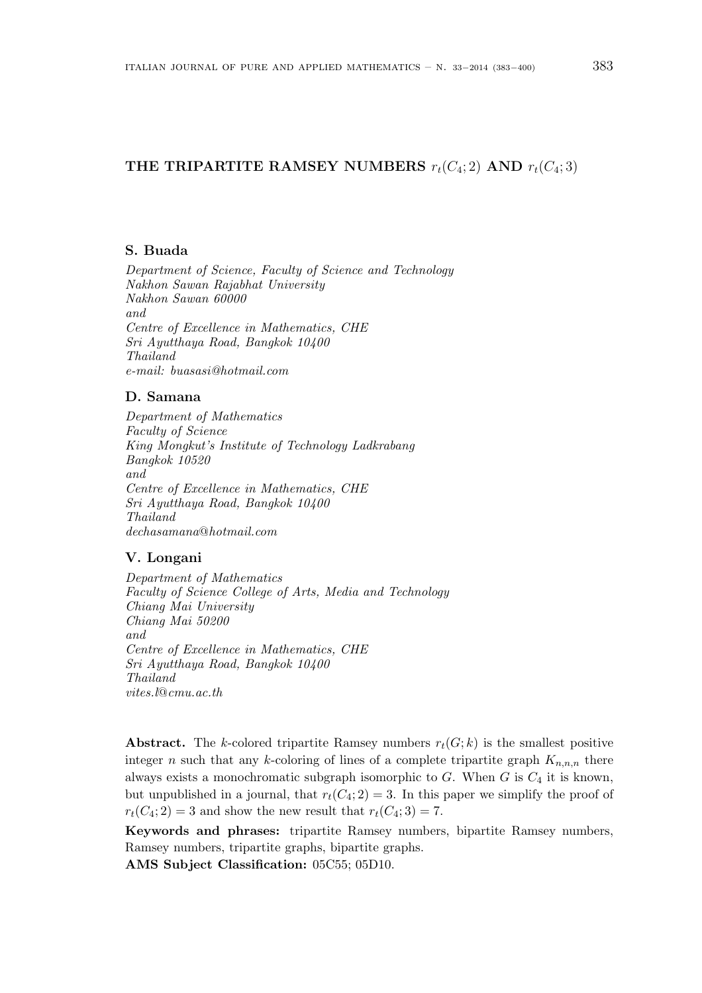# THE TRIPARTITE RAMSEY NUMBERS  $r_t(C_4; 2)$  AND  $r_t(C_4; 3)$

#### S. Buada

Department of Science, Faculty of Science and Technology Nakhon Sawan Rajabhat University Nakhon Sawan 60000 and Centre of Excellence in Mathematics, CHE Sri Ayutthaya Road, Bangkok 10400 Thailand e-mail: buasasi@hotmail.com

# D. Samana

Department of Mathematics Faculty of Science King Mongkut's Institute of Technology Ladkrabang Bangkok 10520 and Centre of Excellence in Mathematics, CHE Sri Ayutthaya Road, Bangkok 10400 Thailand dechasamana@hotmail.com

# V. Longani

Department of Mathematics Faculty of Science College of Arts, Media and Technology Chiang Mai University Chiang Mai 50200 and Centre of Excellence in Mathematics, CHE Sri Ayutthaya Road, Bangkok 10400 Thailand vites.l@cmu.ac.th

Abstract. The k-colored tripartite Ramsey numbers  $r_t(G; k)$  is the smallest positive integer n such that any k-coloring of lines of a complete tripartite graph  $K_{n,n,n}$  there always exists a monochromatic subgraph isomorphic to  $G$ . When  $G$  is  $C_4$  it is known, but unpublished in a journal, that  $r_t(C_4; 2) = 3$ . In this paper we simplify the proof of  $r_t(C_4; 2) = 3$  and show the new result that  $r_t(C_4; 3) = 7$ .

Keywords and phrases: tripartite Ramsey numbers, bipartite Ramsey numbers, Ramsey numbers, tripartite graphs, bipartite graphs.

AMS Subject Classification: 05C55; 05D10.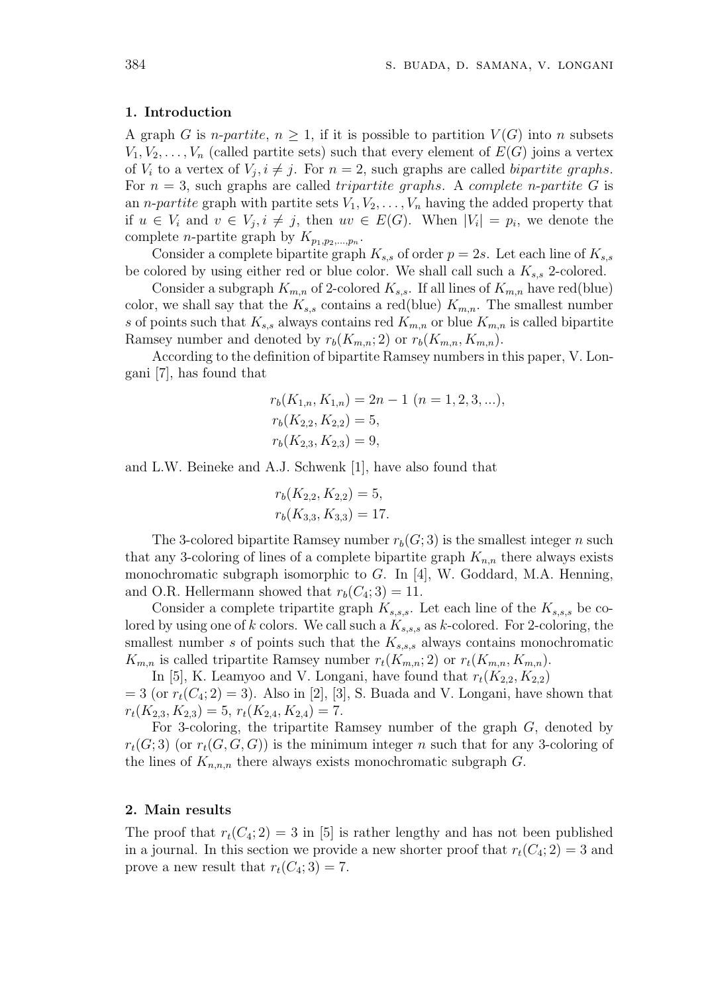#### 1. Introduction

A graph G is *n*-partite,  $n \geq 1$ , if it is possible to partition  $V(G)$  into n subsets  $V_1, V_2, \ldots, V_n$  (called partite sets) such that every element of  $E(G)$  joins a vertex of  $V_i$  to a vertex of  $V_j$ ,  $i \neq j$ . For  $n = 2$ , such graphs are called *bipartite graphs*. For  $n = 3$ , such graphs are called *tripartite graphs*. A *complete n-partite G* is an *n-partite* graph with partite sets  $V_1, V_2, \ldots, V_n$  having the added property that if  $u \in V_i$  and  $v \in V_j, i \neq j$ , then  $uv \in E(G)$ . When  $|V_i| = p_i$ , we denote the complete *n*-partite graph by  $K_{p_1, p_2,...,p_n}$ .

Consider a complete bipartite graph  $K_{s,s}$  of order  $p = 2s$ . Let each line of  $K_{s,s}$ be colored by using either red or blue color. We shall call such a  $K_{s,s}$  2-colored.

Consider a subgraph  $K_{m,n}$  of 2-colored  $K_{s,s}$ . If all lines of  $K_{m,n}$  have red(blue) color, we shall say that the  $K_{s,s}$  contains a red(blue)  $K_{m,n}$ . The smallest number s of points such that  $K_{s,s}$  always contains red  $K_{m,n}$  or blue  $K_{m,n}$  is called bipartite Ramsey number and denoted by  $r_b(K_{m,n}; 2)$  or  $r_b(K_{m,n}, K_{m,n})$ .

According to the definition of bipartite Ramsey numbers in this paper, V. Longani [7], has found that

$$
r_b(K_{1,n}, K_{1,n}) = 2n - 1 \ (n = 1, 2, 3, ...),
$$
  
\n
$$
r_b(K_{2,2}, K_{2,2}) = 5,
$$
  
\n
$$
r_b(K_{2,3}, K_{2,3}) = 9,
$$

and L.W. Beineke and A.J. Schwenk [1], have also found that

$$
r_b(K_{2,2}, K_{2,2}) = 5,
$$
  

$$
r_b(K_{3,3}, K_{3,3}) = 17.
$$

The 3-colored bipartite Ramsey number  $r_b(G; 3)$  is the smallest integer n such that any 3-coloring of lines of a complete bipartite graph  $K_{n,n}$  there always exists monochromatic subgraph isomorphic to G. In [4], W. Goddard, M.A. Henning, and O.R. Hellermann showed that  $r_b(C_4; 3) = 11$ .

Consider a complete tripartite graph  $K_{s,s,s}$ . Let each line of the  $K_{s,s,s}$  be colored by using one of k colors. We call such a  $K_{s,s,s}$  as k-colored. For 2-coloring, the smallest number s of points such that the  $K_{s,s,s}$  always contains monochromatic  $K_{m,n}$  is called tripartite Ramsey number  $r_t(K_{m,n}; 2)$  or  $r_t(K_{m,n}, K_{m,n})$ .

In [5], K. Leamyoo and V. Longani, have found that  $r_t(K_{2,2}, K_{2,2})$  $= 3$  (or  $r_t(C_4; 2) = 3$ ). Also in [2], [3], S. Buada and V. Longani, have shown that  $r_t(K_{2,3}, K_{2,3}) = 5, r_t(K_{2,4}, K_{2,4}) = 7.$ 

For 3-coloring, the tripartite Ramsey number of the graph G, denoted by  $r_t(G; 3)$  (or  $r_t(G, G, G)$ ) is the minimum integer n such that for any 3-coloring of the lines of  $K_{n,n,n}$  there always exists monochromatic subgraph  $G$ .

### 2. Main results

The proof that  $r_t(C_4; 2) = 3$  in [5] is rather lengthy and has not been published in a journal. In this section we provide a new shorter proof that  $r_t(C_4; 2) = 3$  and prove a new result that  $r_t(C_4; 3) = 7$ .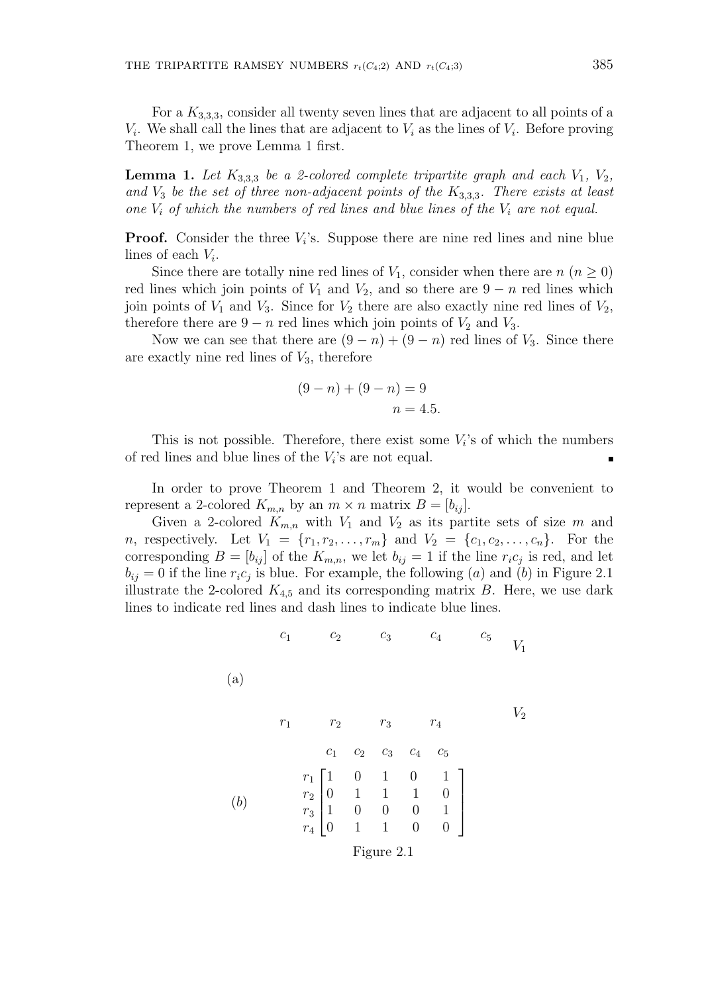For a  $K_{3,3,3}$ , consider all twenty seven lines that are adjacent to all points of a  $V_i$ . We shall call the lines that are adjacent to  $V_i$  as the lines of  $V_i$ . Before proving Theorem 1, we prove Lemma 1 first.

**Lemma 1.** Let  $K_{3,3,3}$  be a 2-colored complete tripartite graph and each  $V_1$ ,  $V_2$ , and  $V_3$  be the set of three non-adjacent points of the  $K_{3,3,3}$ . There exists at least one  $V_i$  of which the numbers of red lines and blue lines of the  $V_i$  are not equal.

**Proof.** Consider the three  $V_i$ 's. Suppose there are nine red lines and nine blue lines of each  $V_i$ .

Since there are totally nine red lines of  $V_1$ , consider when there are  $n (n \geq 0)$ red lines which join points of  $V_1$  and  $V_2$ , and so there are  $9 - n$  red lines which join points of  $V_1$  and  $V_3$ . Since for  $V_2$  there are also exactly nine red lines of  $V_2$ , therefore there are  $9 - n$  red lines which join points of  $V_2$  and  $V_3$ .

Now we can see that there are  $(9 - n) + (9 - n)$  red lines of  $V_3$ . Since there are exactly nine red lines of  $V_3$ , therefore

$$
(9 - n) + (9 - n) = 9
$$
  

$$
n = 4.5.
$$

This is not possible. Therefore, there exist some  $V_i$ 's of which the numbers of red lines and blue lines of the  $V_i$ 's are not equal.

In order to prove Theorem 1 and Theorem 2, it would be convenient to represent a 2-colored  $K_{m,n}$  by an  $m \times n$  matrix  $B = [b_{ij}]$ .

Given a 2-colored  $K_{m,n}$  with  $V_1$  and  $V_2$  as its partite sets of size m and *n*, respectively. Let  $V_1 = \{r_1, r_2, \ldots, r_m\}$  and  $V_2 = \{c_1, c_2, \ldots, c_n\}$ . For the corresponding  $B = [b_{ij}]$  of the  $K_{m,n}$ , we let  $b_{ij} = 1$  if the line  $r_i c_j$  is red, and let  $b_{ij} = 0$  if the line  $r_i c_j$  is blue. For example, the following (a) and (b) in Figure 2.1 illustrate the 2-colored  $K_{4,5}$  and its corresponding matrix B. Here, we use dark lines to indicate red lines and dash lines to indicate blue lines.

$$
c_1
$$
  $c_2$   $c_3$   $c_4$   $c_5$   $V_1$ 

$$
\begin{array}{ccccccccc}\nr_1 & r_2 & r_3 & r_4 \\
c_1 & c_2 & c_3 & c_4 & c_5 \\
r_1 & 1 & 0 & 1 & 0 & 1 \\
r_2 & 0 & 1 & 1 & 1 & 0 \\
r_3 & 1 & 0 & 0 & 0 & 1 \\
r_4 & 0 & 1 & 1 & 0 & 0\n\end{array}
$$

(a)

Figure 2.1

 $V_2$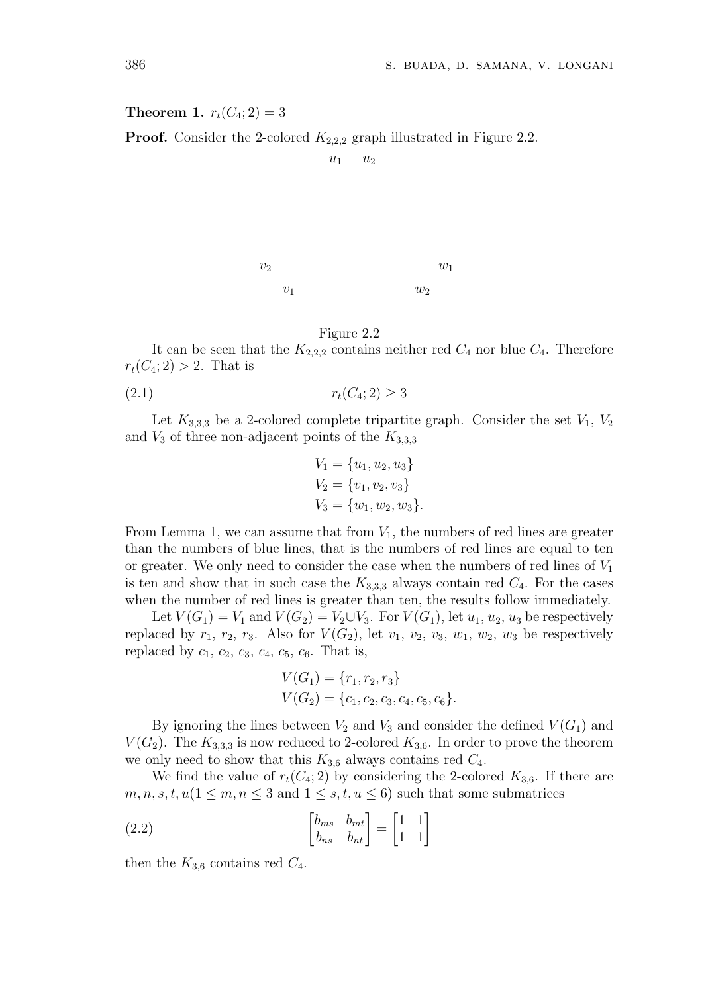**Theorem 1.**  $r_t(C_4; 2) = 3$ 

**Proof.** Consider the 2-colored  $K_{2,2,2}$  graph illustrated in Figure 2.2.

 $u_1$   $u_2$ 

 $v_1$  $v_2$   $w_1$ 

Figure 2.2

It can be seen that the  $K_{2,2,2}$  contains neither red  $C_4$  nor blue  $C_4$ . Therefore  $r_t(C_4; 2) > 2$ . That is

 $w_2$ 

$$
(2.1) \t\t\t r_t(C_4; 2) \ge 3
$$

Let  $K_{3,3,3}$  be a 2-colored complete tripartite graph. Consider the set  $V_1, V_2$ and  $V_3$  of three non-adjacent points of the  $K_{3,3,3}$ 

$$
V_1 = \{u_1, u_2, u_3\}
$$
  
\n
$$
V_2 = \{v_1, v_2, v_3\}
$$
  
\n
$$
V_3 = \{w_1, w_2, w_3\}.
$$

From Lemma 1, we can assume that from  $V_1$ , the numbers of red lines are greater than the numbers of blue lines, that is the numbers of red lines are equal to ten or greater. We only need to consider the case when the numbers of red lines of  $V_1$ is ten and show that in such case the  $K_{3,3,3}$  always contain red  $C_4$ . For the cases when the number of red lines is greater than ten, the results follow immediately.

Let  $V(G_1) = V_1$  and  $V(G_2) = V_2 \cup V_3$ . For  $V(G_1)$ , let  $u_1, u_2, u_3$  be respectively replaced by  $r_1$ ,  $r_2$ ,  $r_3$ . Also for  $V(G_2)$ , let  $v_1$ ,  $v_2$ ,  $v_3$ ,  $w_1$ ,  $w_2$ ,  $w_3$  be respectively replaced by  $c_1, c_2, c_3, c_4, c_5, c_6$ . That is,

$$
V(G_1) = \{r_1, r_2, r_3\}
$$
  
 
$$
V(G_2) = \{c_1, c_2, c_3, c_4, c_5, c_6\}.
$$

By ignoring the lines between  $V_2$  and  $V_3$  and consider the defined  $V(G_1)$  and  $V(G_2)$ . The  $K_{3,3,3}$  is now reduced to 2-colored  $K_{3,6}$ . In order to prove the theorem we only need to show that this  $K_{3,6}$  always contains red  $C_4$ .

We find the value of  $r_t(C_4; 2)$  by considering the 2-colored  $K_{3,6}$ . If there are  $m, n, s, t, u$  ( $1 \leq m, n \leq 3$  and  $1 \leq s, t, u \leq 6$ ) such that some submatrices

(2.2) 
$$
\begin{bmatrix} b_{ms} & b_{mt} \\ b_{ns} & b_{nt} \end{bmatrix} = \begin{bmatrix} 1 & 1 \\ 1 & 1 \end{bmatrix}
$$

then the  $K_{3,6}$  contains red  $C_4$ .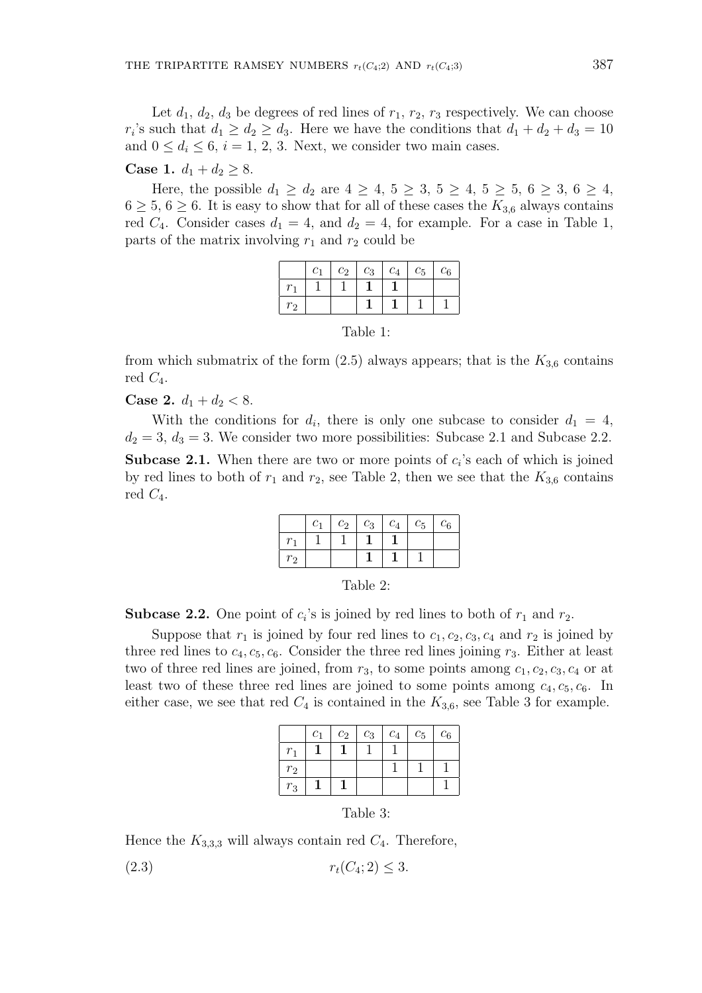Let  $d_1, d_2, d_3$  be degrees of red lines of  $r_1, r_2, r_3$  respectively. We can choose  $r_i$ 's such that  $d_1 \geq d_2 \geq d_3$ . Here we have the conditions that  $d_1 + d_2 + d_3 = 10$ and  $0 \leq d_i \leq 6$ ,  $i = 1, 2, 3$ . Next, we consider two main cases.

# **Case 1.**  $d_1 + d_2 \geq 8$ .

Here, the possible  $d_1 \geq d_2$  are  $4 \geq 4, 5 \geq 3, 5 \geq 4, 5 \geq 5, 6 \geq 3, 6 \geq 4,$  $6 \geq 5, 6 \geq 6$ . It is easy to show that for all of these cases the  $K_{3,6}$  always contains red  $C_4$ . Consider cases  $d_1 = 4$ , and  $d_2 = 4$ , for example. For a case in Table 1, parts of the matrix involving  $r_1$  and  $r_2$  could be

|                | C <sub>1</sub> | $c_2$ | $c_3$ | $\perp c_4$ | $c_5$ | $c_6$ |
|----------------|----------------|-------|-------|-------------|-------|-------|
|                |                |       |       |             |       |       |
| r <sub>2</sub> |                |       |       |             |       |       |

Table 1:

from which submatrix of the form  $(2.5)$  always appears; that is the  $K_{3,6}$  contains red  $C_4$ .

**Case 2.**  $d_1 + d_2 < 8$ .

With the conditions for  $d_i$ , there is only one subcase to consider  $d_1 = 4$ ,  $d_2 = 3, d_3 = 3$ . We consider two more possibilities: Subcase 2.1 and Subcase 2.2. **Subcase 2.1.** When there are two or more points of  $c_i$ 's each of which is joined by red lines to both of  $r_1$  and  $r_2$ , see Table 2, then we see that the  $K_{3,6}$  contains red  $C_4$ .

|                | C <sub>1</sub> | $c_2$ | $c_3 \mid c_4 \mid$ | $c_5$ | $c_6$ |
|----------------|----------------|-------|---------------------|-------|-------|
|                |                |       |                     |       |       |
| r <sub>2</sub> |                |       |                     |       |       |

| able. |  |
|-------|--|
|-------|--|

**Subcase 2.2.** One point of  $c_i$ 's is joined by red lines to both of  $r_1$  and  $r_2$ .

Suppose that  $r_1$  is joined by four red lines to  $c_1, c_2, c_3, c_4$  and  $r_2$  is joined by three red lines to  $c_4, c_5, c_6$ . Consider the three red lines joining  $r_3$ . Either at least two of three red lines are joined, from  $r_3$ , to some points among  $c_1, c_2, c_3, c_4$  or at least two of these three red lines are joined to some points among  $c_4, c_5, c_6$ . In either case, we see that red  $C_4$  is contained in the  $K_{3,6}$ , see Table 3 for example.

|                | C <sub>1</sub> | $c_2$ | $c_3$ | $c_4$ | $c_5$ | $c_6$ |
|----------------|----------------|-------|-------|-------|-------|-------|
| $r_1$          |                |       |       |       |       |       |
| r <sub>2</sub> |                |       |       |       |       |       |
| $r_3$          |                |       |       |       |       |       |

| 'able |  |
|-------|--|
|-------|--|

Hence the  $K_{3,3,3}$  will always contain red  $C_4$ . Therefore,

(2.3)  $r_t(C_4; 2) \leq 3.$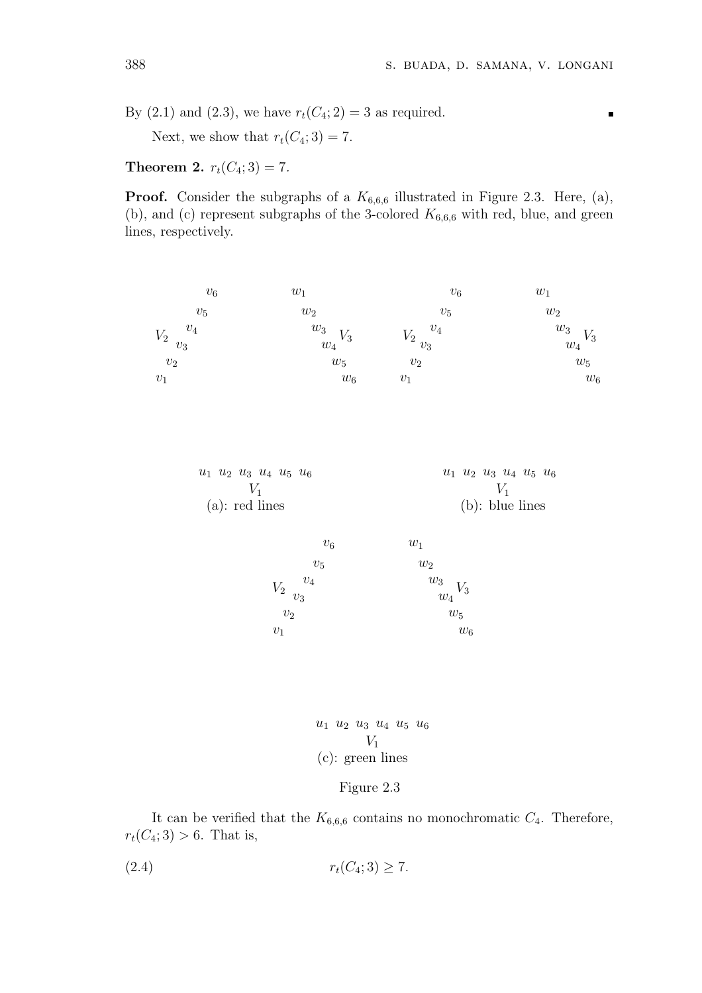$\blacksquare$ 

By (2.1) and (2.3), we have  $r_t(C_4; 2) = 3$  as required.

Next, we show that  $r_t(C_4; 3) = 7$ .

**Theorem 2.**  $r_t(C_4; 3) = 7$ .

**Proof.** Consider the subgraphs of a  $K_{6,6,6}$  illustrated in Figure 2.3. Here, (a), (b), and (c) represent subgraphs of the 3-colored  $K_{6,6,6}$  with red, blue, and green lines, respectively.



$$
u_1 \ u_2 \ u_3 \ u_4 \ u_5 \ u_6
$$
  

$$
V_1
$$
  
(c): green lines

# Figure 2.3

It can be verified that the  $K_{6,6,6}$  contains no monochromatic  $C_4$ . Therefore,  $r_t(C_4; 3) > 6$ . That is,

$$
(2.4) \t\t\t r_t(C_4; 3) \ge 7.
$$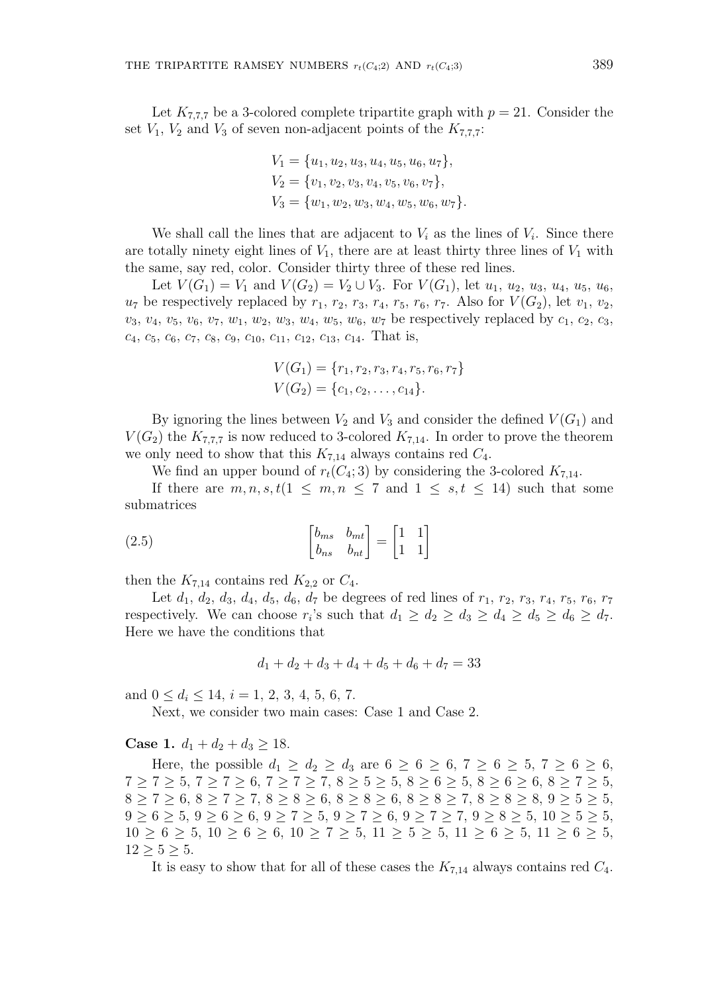Let  $K_{7,7,7}$  be a 3-colored complete tripartite graph with  $p = 21$ . Consider the set  $V_1$ ,  $V_2$  and  $V_3$  of seven non-adjacent points of the  $K_{7,7,7}$ :

$$
V_1 = \{u_1, u_2, u_3, u_4, u_5, u_6, u_7\},
$$
  
\n
$$
V_2 = \{v_1, v_2, v_3, v_4, v_5, v_6, v_7\},
$$
  
\n
$$
V_3 = \{w_1, w_2, w_3, w_4, w_5, w_6, w_7\}.
$$

We shall call the lines that are adjacent to  $V_i$  as the lines of  $V_i$ . Since there are totally ninety eight lines of  $V_1$ , there are at least thirty three lines of  $V_1$  with the same, say red, color. Consider thirty three of these red lines.

Let  $V(G_1) = V_1$  and  $V(G_2) = V_2 \cup V_3$ . For  $V(G_1)$ , let  $u_1, u_2, u_3, u_4, u_5, u_6$ ,  $u_7$  be respectively replaced by  $r_1$ ,  $r_2$ ,  $r_3$ ,  $r_4$ ,  $r_5$ ,  $r_6$ ,  $r_7$ . Also for  $V(G_2)$ , let  $v_1$ ,  $v_2$ ,  $v_3, v_4, v_5, v_6, v_7, w_1, w_2, w_3, w_4, w_5, w_6, w_7$  be respectively replaced by  $c_1, c_2, c_3$ ,  $c_4, c_5, c_6, c_7, c_8, c_9, c_{10}, c_{11}, c_{12}, c_{13}, c_{14}.$  That is,

$$
V(G_1) = \{r_1, r_2, r_3, r_4, r_5, r_6, r_7\}
$$
  

$$
V(G_2) = \{c_1, c_2, \dots, c_{14}\}.
$$

By ignoring the lines between  $V_2$  and  $V_3$  and consider the defined  $V(G_1)$  and  $V(G_2)$  the  $K_{7,7,7}$  is now reduced to 3-colored  $K_{7,14}$ . In order to prove the theorem we only need to show that this  $K_{7,14}$  always contains red  $C_4$ .

We find an upper bound of  $r_t(C_4; 3)$  by considering the 3-colored  $K_{7,14}$ .

If there are  $m, n, s, t$   $(1 \leq m, n \leq 7 \text{ and } 1 \leq s, t \leq 14)$  such that some submatrices

(2.5) 
$$
\begin{bmatrix} b_{ms} & b_{mt} \\ b_{ns} & b_{nt} \end{bmatrix} = \begin{bmatrix} 1 & 1 \\ 1 & 1 \end{bmatrix}
$$

then the  $K_{7,14}$  contains red  $K_{2,2}$  or  $C_4$ .

Let  $d_1, d_2, d_3, d_4, d_5, d_6, d_7$  be degrees of red lines of  $r_1, r_2, r_3, r_4, r_5, r_6, r_7$ respectively. We can choose  $r_i$ 's such that  $d_1 \geq d_2 \geq d_3 \geq d_4 \geq d_5 \geq d_6 \geq d_7$ . Here we have the conditions that

$$
d_1 + d_2 + d_3 + d_4 + d_5 + d_6 + d_7 = 33
$$

and  $0 \leq d_i \leq 14$ ,  $i = 1, 2, 3, 4, 5, 6, 7$ .

Next, we consider two main cases: Case 1 and Case 2.

**Case 1.**  $d_1 + d_2 + d_3 \ge 18$ .

Here, the possible  $d_1 \geq d_2 \geq d_3$  are  $6 \geq 6 \geq 6, 7 \geq 6 \geq 5, 7 \geq 6 \geq 6,$  $7 \geq 7 \geq 5, 7 \geq 7 \geq 6, 7 \geq 7 \geq 7, 8 \geq 5 \geq 5, 8 \geq 6 \geq 5, 8 \geq 6 \geq 6, 8 \geq 7 \geq 5,$  $8 \ge 7 \ge 6, 8 \ge 7 \ge 7, 8 \ge 8 \ge 6, 8 \ge 8 \ge 6, 8 \ge 8 \ge 7, 8 \ge 8 \ge 8, 9 \ge 5 \ge 5,$  $9 \ge 6 \ge 5, 9 \ge 6 \ge 6, 9 \ge 7 \ge 5, 9 \ge 7 \ge 6, 9 \ge 7 \ge 7, 9 \ge 8 \ge 5, 10 \ge 5 \ge 5,$  $10 \ge 6 \ge 5$ ,  $10 \ge 6 \ge 6$ ,  $10 \ge 7 \ge 5$ ,  $11 \ge 5 \ge 5$ ,  $11 \ge 6 \ge 5$ ,  $11 \ge 6 \ge 5$ ,  $12 > 5 > 5$ .

It is easy to show that for all of these cases the  $K_{7,14}$  always contains red  $C_4$ .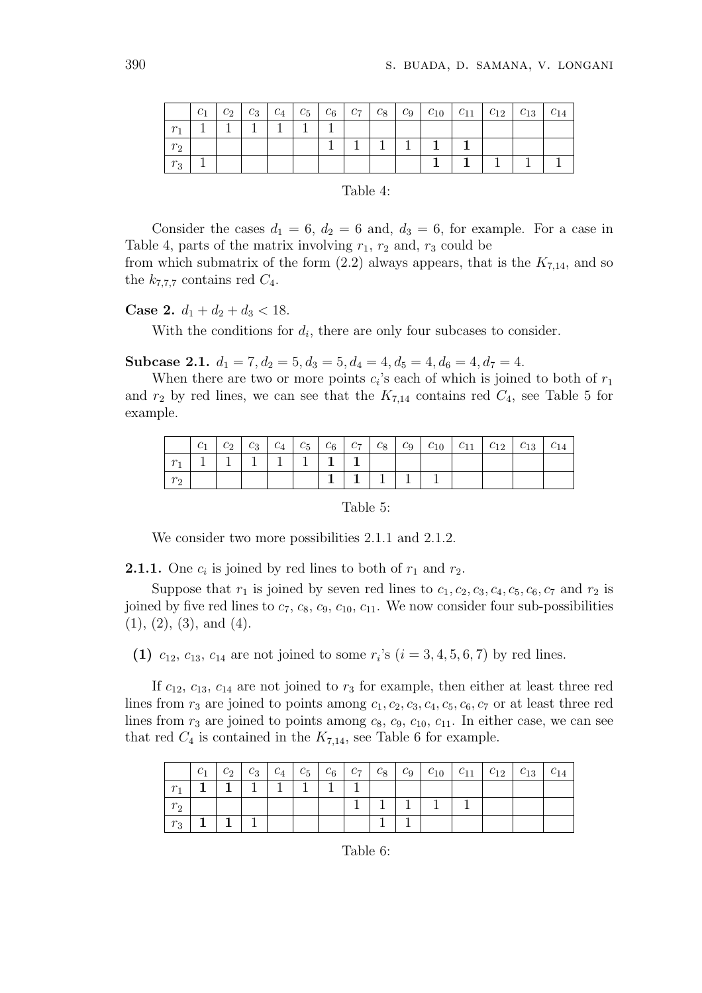|              | $c_1$ | $c_2$ | $c_3$ | $c_4$ | $c_5 \mid c_6$ | $c_7$ | $c_8$   $c_9$ | $+$ $c_{10}$ $+$ | $\left  C_{11} \right $ | $c_{12}$ $c_{13}$ | $c_{14}$ |
|--------------|-------|-------|-------|-------|----------------|-------|---------------|------------------|-------------------------|-------------------|----------|
| $\sim$       |       |       |       |       |                |       |               |                  |                         |                   |          |
| $r_{\Omega}$ |       |       |       |       |                |       |               |                  |                         |                   |          |
| $r_{\rm s}$  |       |       |       |       |                |       |               |                  |                         |                   |          |

# Table 4:

Consider the cases  $d_1 = 6$ ,  $d_2 = 6$  and,  $d_3 = 6$ , for example. For a case in Table 4, parts of the matrix involving  $r_1$ ,  $r_2$  and,  $r_3$  could be

from which submatrix of the form  $(2.2)$  always appears, that is the  $K_{7,14}$ , and so the  $k_{7,7,7}$  contains red  $C_4$ .

**Case 2.**  $d_1 + d_2 + d_3 < 18$ .

With the conditions for  $d_i$ , there are only four subcases to consider.

Subcase 2.1.  $d_1 = 7, d_2 = 5, d_3 = 5, d_4 = 4, d_5 = 4, d_6 = 4, d_7 = 4.$ 

When there are two or more points  $c_i$ 's each of which is joined to both of  $r_1$ and  $r_2$  by red lines, we can see that the  $K_{7,14}$  contains red  $C_4$ , see Table 5 for example.

|         | $c_2$ |  |  |  |  |  |  |
|---------|-------|--|--|--|--|--|--|
|         |       |  |  |  |  |  |  |
| $r_{2}$ |       |  |  |  |  |  |  |

Table 5:

We consider two more possibilities 2.1.1 and 2.1.2.

**2.1.1.** One  $c_i$  is joined by red lines to both of  $r_1$  and  $r_2$ .

Suppose that  $r_1$  is joined by seven red lines to  $c_1, c_2, c_3, c_4, c_5, c_6, c_7$  and  $r_2$  is joined by five red lines to  $c_7$ ,  $c_8$ ,  $c_9$ ,  $c_{10}$ ,  $c_{11}$ . We now consider four sub-possibilities  $(1), (2), (3),$  and  $(4).$ 

(1)  $c_{12}, c_{13}, c_{14}$  are not joined to some  $r_i$ 's  $(i = 3, 4, 5, 6, 7)$  by red lines.

If  $c_{12}$ ,  $c_{13}$ ,  $c_{14}$  are not joined to  $r_3$  for example, then either at least three red lines from  $r_3$  are joined to points among  $c_1, c_2, c_3, c_4, c_5, c_6, c_7$  or at least three red lines from  $r_3$  are joined to points among  $c_8$ ,  $c_9$ ,  $c_{10}$ ,  $c_{11}$ . In either case, we can see that red  $C_4$  is contained in the  $K_{7,14}$ , see Table 6 for example.

|             |  |  |  |  | $c_1$   $c_2$   $c_3$   $c_4$   $c_5$   $c_6$   $c_7$   $c_8$   $c_9$   $c_{10}$   $c_{11}$   $c_{12}$   $c_{13}$ |  | $c_{14}$ |
|-------------|--|--|--|--|-------------------------------------------------------------------------------------------------------------------|--|----------|
| $r_{\rm A}$ |  |  |  |  |                                                                                                                   |  |          |
| $r_2$       |  |  |  |  |                                                                                                                   |  |          |
| $r_3$       |  |  |  |  |                                                                                                                   |  |          |

Table 6: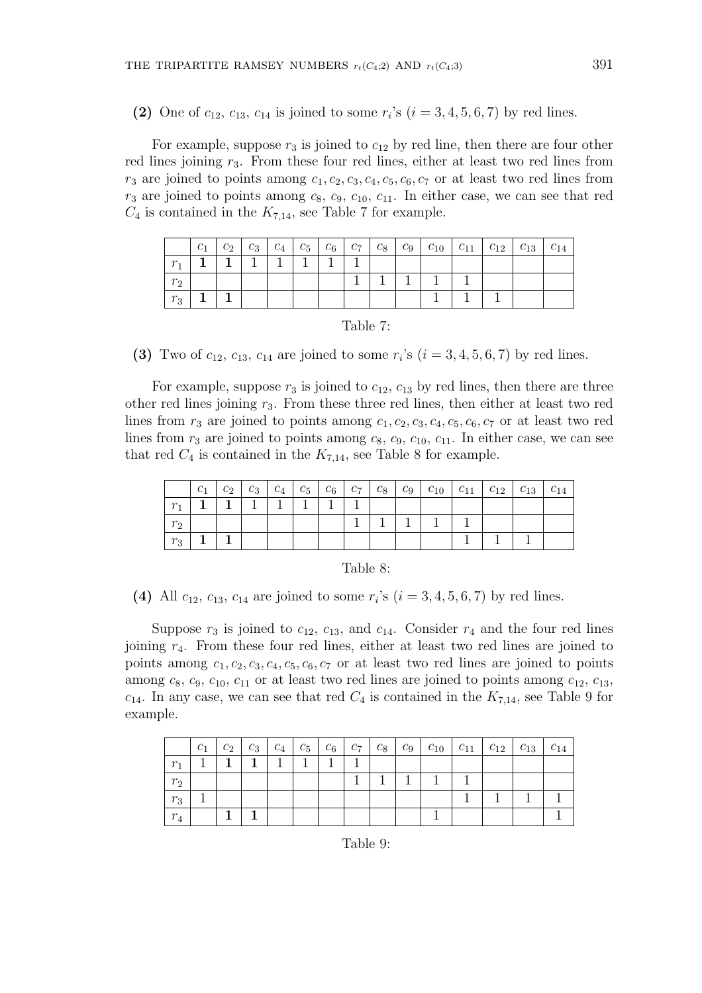(2) One of  $c_{12}$ ,  $c_{13}$ ,  $c_{14}$  is joined to some  $r_i$ 's  $(i = 3, 4, 5, 6, 7)$  by red lines.

For example, suppose  $r_3$  is joined to  $c_{12}$  by red line, then there are four other red lines joining  $r_3$ . From these four red lines, either at least two red lines from  $r_3$  are joined to points among  $c_1, c_2, c_3, c_4, c_5, c_6, c_7$  or at least two red lines from  $r_3$  are joined to points among  $c_8$ ,  $c_9$ ,  $c_{10}$ ,  $c_{11}$ . In either case, we can see that red  $C_4$  is contained in the  $K_{7,14}$ , see Table 7 for example.

|              | c <sub>1</sub> | $c_2$ | $c_3 \mid c_4 \mid$ | $c_5 \mid c_6 \mid c_7$ |  | $c_8$   $c_9$   $c_{10}$   $c_{11}$   $c_{12}$   $c_{13}$ |  | $c_{14}$ |
|--------------|----------------|-------|---------------------|-------------------------|--|-----------------------------------------------------------|--|----------|
| m.           |                |       |                     |                         |  |                                                           |  |          |
| $r_{\Omega}$ |                |       |                     |                         |  |                                                           |  |          |
| $r_3$        |                |       |                     |                         |  |                                                           |  |          |

| able |  |
|------|--|
|      |  |

(3) Two of  $c_{12}$ ,  $c_{13}$ ,  $c_{14}$  are joined to some  $r_i$ 's  $(i = 3, 4, 5, 6, 7)$  by red lines.

For example, suppose  $r_3$  is joined to  $c_{12}$ ,  $c_{13}$  by red lines, then there are three other red lines joining  $r_3$ . From these three red lines, then either at least two red lines from  $r_3$  are joined to points among  $c_1, c_2, c_3, c_4, c_5, c_6, c_7$  or at least two red lines from  $r_3$  are joined to points among  $c_8$ ,  $c_9$ ,  $c_{10}$ ,  $c_{11}$ . In either case, we can see that red  $C_4$  is contained in the  $K_{7,14}$ , see Table 8 for example.

|                |  |  |  |  | $c_1 \mid c_2 \mid c_3 \mid c_4 \mid c_5 \mid c_6 \mid c_7 \mid c_8 \mid c_9 \mid c_{10} \mid c_{11} \mid c_{12} \mid c_{13} \mid c_{14}$ |  |  |
|----------------|--|--|--|--|-------------------------------------------------------------------------------------------------------------------------------------------|--|--|
| $r_{\rm h}$    |  |  |  |  |                                                                                                                                           |  |  |
| r <sub>2</sub> |  |  |  |  |                                                                                                                                           |  |  |
| $r_3$          |  |  |  |  |                                                                                                                                           |  |  |

| `able |  |
|-------|--|
|       |  |

(4) All  $c_{12}$ ,  $c_{13}$ ,  $c_{14}$  are joined to some  $r_i$ 's ( $i = 3, 4, 5, 6, 7$ ) by red lines.

Suppose  $r_3$  is joined to  $c_{12}$ ,  $c_{13}$ , and  $c_{14}$ . Consider  $r_4$  and the four red lines joining r4. From these four red lines, either at least two red lines are joined to points among  $c_1, c_2, c_3, c_4, c_5, c_6, c_7$  or at least two red lines are joined to points among  $c_8$ ,  $c_9$ ,  $c_{10}$ ,  $c_{11}$  or at least two red lines are joined to points among  $c_{12}$ ,  $c_{13}$ ,  $c_{14}$ . In any case, we can see that red  $C_4$  is contained in the  $K_{7,14}$ , see Table 9 for example.

|                | $c_1$ | $c_2$ | $c_3$ | $^+$ $C_4$ + | $c_5 \mid c_6$ | $c_7$ | $c_8$   $c_9$ |  | $c_{10}$   $c_{11}$   $c_{12}$ | $\perp C_{13}$ | $c_{14}$ |
|----------------|-------|-------|-------|--------------|----------------|-------|---------------|--|--------------------------------|----------------|----------|
| r <sub>1</sub> |       |       |       |              |                |       |               |  |                                |                |          |
| $r_2$          |       |       |       |              |                |       |               |  |                                |                |          |
| $r_3$          |       |       |       |              |                |       |               |  |                                |                |          |
| $r_4$          |       |       |       |              |                |       |               |  |                                |                |          |

Table 9: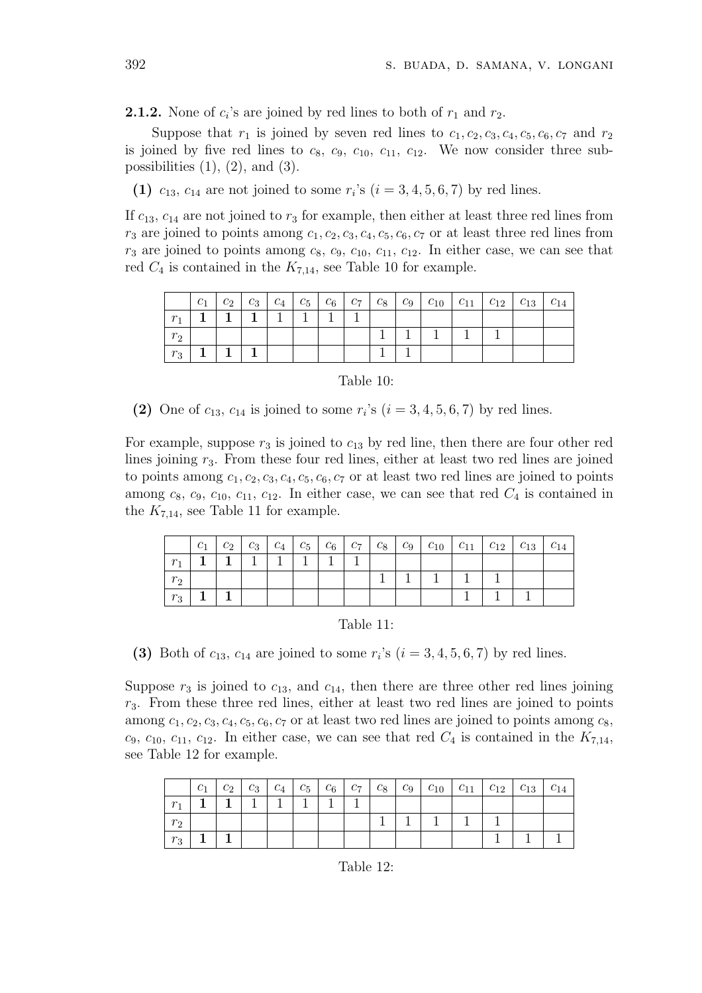**2.1.2.** None of  $c_i$ 's are joined by red lines to both of  $r_1$  and  $r_2$ .

Suppose that  $r_1$  is joined by seven red lines to  $c_1, c_2, c_3, c_4, c_5, c_6, c_7$  and  $r_2$ is joined by five red lines to  $c_8$ ,  $c_9$ ,  $c_{10}$ ,  $c_{11}$ ,  $c_{12}$ . We now consider three subpossibilities  $(1)$ ,  $(2)$ , and  $(3)$ .

(1)  $c_{13}$ ,  $c_{14}$  are not joined to some  $r_i$ 's  $(i = 3, 4, 5, 6, 7)$  by red lines.

If  $c_{13}$ ,  $c_{14}$  are not joined to  $r_3$  for example, then either at least three red lines from  $r_3$  are joined to points among  $c_1, c_2, c_3, c_4, c_5, c_6, c_7$  or at least three red lines from  $r_3$  are joined to points among  $c_8$ ,  $c_9$ ,  $c_{10}$ ,  $c_{11}$ ,  $c_{12}$ . In either case, we can see that red  $C_4$  is contained in the  $K_{7,14}$ , see Table 10 for example.

|       |  |  |  |  | $c_1 \, c_2 \, c_3 \, c_4 \, c_5 \, c_6 \, c_7 \, c_8 \, c_9 \, c_{10} \, c_{11} \, c_{12} \, c_{13} \, c_{14}$ |  |  |
|-------|--|--|--|--|-----------------------------------------------------------------------------------------------------------------|--|--|
|       |  |  |  |  |                                                                                                                 |  |  |
|       |  |  |  |  |                                                                                                                 |  |  |
| $r_3$ |  |  |  |  |                                                                                                                 |  |  |

Table 10:

(2) One of  $c_{13}$ ,  $c_{14}$  is joined to some  $r_i$ 's  $(i = 3, 4, 5, 6, 7)$  by red lines.

For example, suppose  $r_3$  is joined to  $c_{13}$  by red line, then there are four other red lines joining  $r_3$ . From these four red lines, either at least two red lines are joined to points among  $c_1, c_2, c_3, c_4, c_5, c_6, c_7$  or at least two red lines are joined to points among  $c_8$ ,  $c_9$ ,  $c_{10}$ ,  $c_{11}$ ,  $c_{12}$ . In either case, we can see that red  $C_4$  is contained in the  $K_{7,14}$ , see Table 11 for example.

|           | c <sub>1</sub> |  |  |  |  | $c_2$   $c_3$   $c_4$   $c_5$   $c_6$   $c_7$   $c_8$   $c_9$   $c_{10}$   $c_{11}$   $c_{12}$   $c_{13}$   $c_{14}$ |  |  |
|-----------|----------------|--|--|--|--|----------------------------------------------------------------------------------------------------------------------|--|--|
| $r_{\rm}$ |                |  |  |  |  |                                                                                                                      |  |  |
|           |                |  |  |  |  |                                                                                                                      |  |  |
| $r_3$     |                |  |  |  |  |                                                                                                                      |  |  |

Table 11:

(3) Both of  $c_{13}$ ,  $c_{14}$  are joined to some  $r_i$ 's  $(i = 3, 4, 5, 6, 7)$  by red lines.

Suppose  $r_3$  is joined to  $c_{13}$ , and  $c_{14}$ , then there are three other red lines joining  $r_3$ . From these three red lines, either at least two red lines are joined to points among  $c_1, c_2, c_3, c_4, c_5, c_6, c_7$  or at least two red lines are joined to points among  $c_8$ ,  $c_9, c_{10}, c_{11}, c_{12}.$  In either case, we can see that red  $C_4$  is contained in the  $K_{7,14}$ , see Table 12 for example.

|                  | $c_1$ |  |  |  |  | $c_2$   $c_3$   $c_4$   $c_5$   $c_6$   $c_7$   $c_8$   $c_9$   $c_{10}$   $c_{11}$   $c_{12}$   $c_{13}$   $c_{14}$ |  |  |
|------------------|-------|--|--|--|--|----------------------------------------------------------------------------------------------------------------------|--|--|
| $r_{\rm A}$      |       |  |  |  |  |                                                                                                                      |  |  |
| $r_2$            |       |  |  |  |  |                                                                                                                      |  |  |
| $r_{\rm a}$<br>ω |       |  |  |  |  |                                                                                                                      |  |  |

Table 12: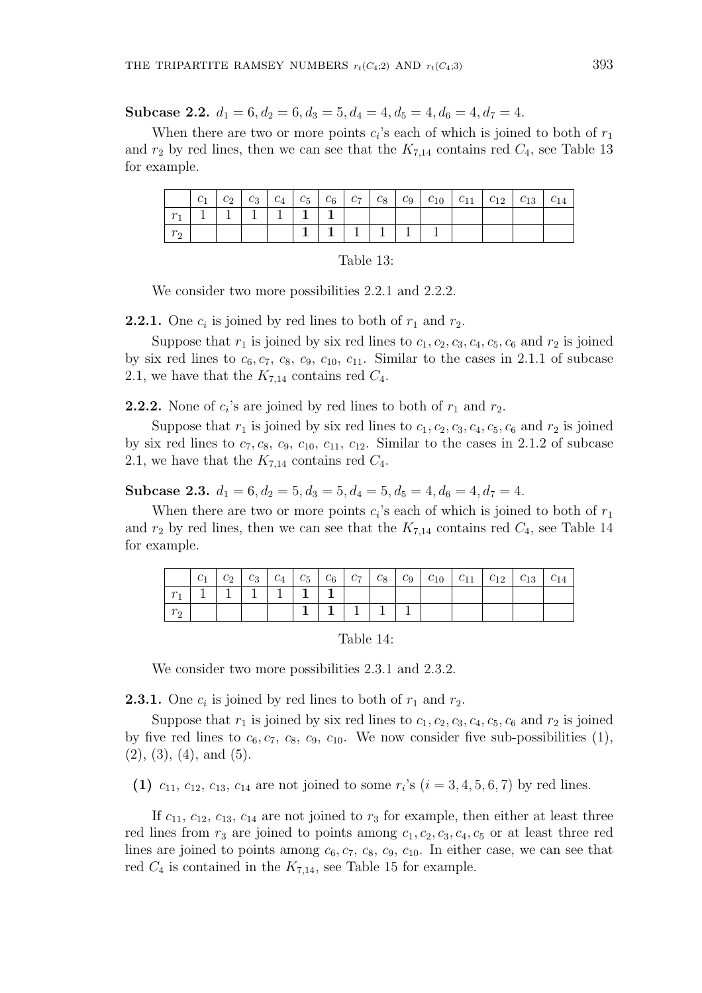Subcase 2.2.  $d_1 = 6, d_2 = 6, d_3 = 5, d_4 = 4, d_5 = 4, d_6 = 4, d_7 = 4.$ 

When there are two or more points  $c_i$ 's each of which is joined to both of  $r_1$ and  $r_2$  by red lines, then we can see that the  $K_{7,14}$  contains red  $C_4$ , see Table 13 for example.

|  | $\mathcal{C}_1$ | $c_2$ | $c_3$ | $c_4$ | $c_5$ |  |  |  |  | $c_{14}$ |
|--|-----------------|-------|-------|-------|-------|--|--|--|--|----------|
|  |                 |       |       |       |       |  |  |  |  |          |
|  |                 |       |       |       |       |  |  |  |  |          |

| Table 13: |  |
|-----------|--|
|-----------|--|

We consider two more possibilities 2.2.1 and 2.2.2.

**2.2.1.** One  $c_i$  is joined by red lines to both of  $r_1$  and  $r_2$ .

Suppose that  $r_1$  is joined by six red lines to  $c_1, c_2, c_3, c_4, c_5, c_6$  and  $r_2$  is joined by six red lines to  $c_6, c_7, c_8, c_9, c_{10}, c_{11}$ . Similar to the cases in 2.1.1 of subcase 2.1, we have that the  $K_{7,14}$  contains red  $C_4$ .

**2.2.2.** None of  $c_i$ 's are joined by red lines to both of  $r_1$  and  $r_2$ .

Suppose that  $r_1$  is joined by six red lines to  $c_1, c_2, c_3, c_4, c_5, c_6$  and  $r_2$  is joined by six red lines to  $c_7, c_8, c_9, c_{10}, c_{11}, c_{12}$ . Similar to the cases in 2.1.2 of subcase 2.1, we have that the  $K_{7,14}$  contains red  $C_4$ .

Subcase 2.3.  $d_1 = 6, d_2 = 5, d_3 = 5, d_4 = 5, d_5 = 4, d_6 = 4, d_7 = 4.$ 

When there are two or more points  $c_i$ 's each of which is joined to both of  $r_1$ and  $r_2$  by red lines, then we can see that the  $K_{7,14}$  contains red  $C_4$ , see Table 14 for example.

| $c_1$ | $c_2$ |  |  |  |  |  |  |
|-------|-------|--|--|--|--|--|--|
|       |       |  |  |  |  |  |  |
|       |       |  |  |  |  |  |  |

Table 14:

We consider two more possibilities 2.3.1 and 2.3.2.

**2.3.1.** One  $c_i$  is joined by red lines to both of  $r_1$  and  $r_2$ .

Suppose that  $r_1$  is joined by six red lines to  $c_1, c_2, c_3, c_4, c_5, c_6$  and  $r_2$  is joined by five red lines to  $c_6, c_7, c_8, c_9, c_{10}$ . We now consider five sub-possibilities (1),  $(2), (3), (4), \text{ and } (5).$ 

(1)  $c_{11}, c_{12}, c_{13}, c_{14}$  are not joined to some  $r_i$ 's  $(i = 3, 4, 5, 6, 7)$  by red lines.

If  $c_{11}$ ,  $c_{12}$ ,  $c_{13}$ ,  $c_{14}$  are not joined to  $r_3$  for example, then either at least three red lines from  $r_3$  are joined to points among  $c_1, c_2, c_3, c_4, c_5$  or at least three red lines are joined to points among  $c_6$ ,  $c_7$ ,  $c_8$ ,  $c_9$ ,  $c_{10}$ . In either case, we can see that red  $C_4$  is contained in the  $K_{7,14}$ , see Table 15 for example.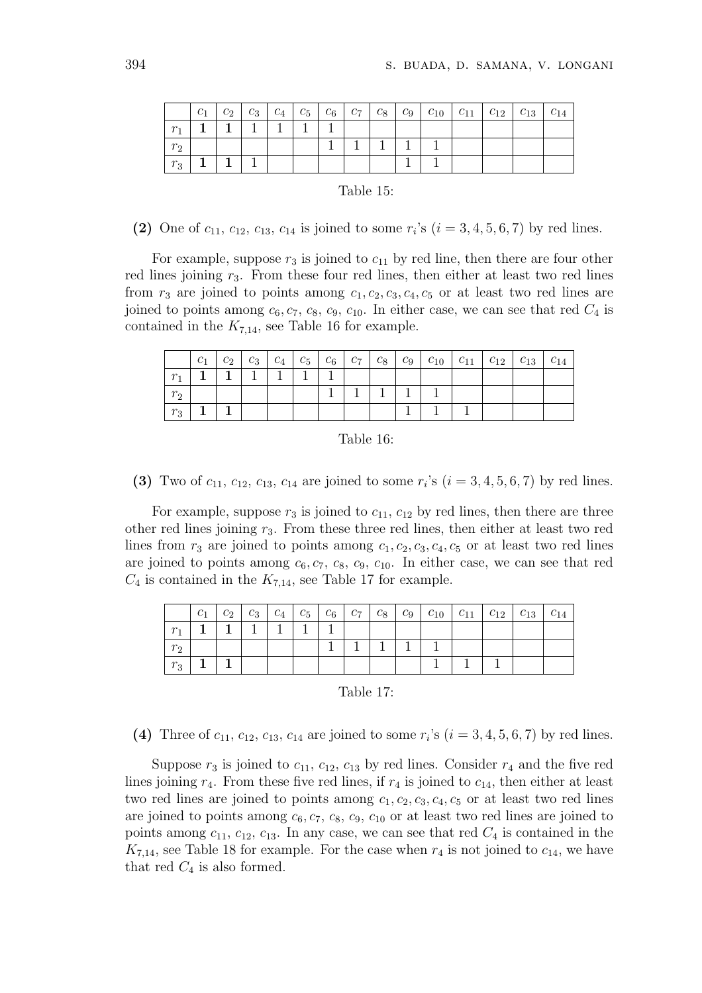|              | $c_1$ |  | $c_2$   $c_3$   $c_4$   $c_5$   $c_6$   $c_7$ |  |  |  |  |  |
|--------------|-------|--|-----------------------------------------------|--|--|--|--|--|
| $r_{\rm{f}}$ |       |  |                                               |  |  |  |  |  |
| $r_2$        |       |  |                                               |  |  |  |  |  |
| $r_3$        |       |  |                                               |  |  |  |  |  |

#### Table 15:

(2) One of  $c_{11}$ ,  $c_{12}$ ,  $c_{13}$ ,  $c_{14}$  is joined to some  $r_i$ 's  $(i = 3, 4, 5, 6, 7)$  by red lines.

For example, suppose  $r_3$  is joined to  $c_{11}$  by red line, then there are four other red lines joining  $r_3$ . From these four red lines, then either at least two red lines from  $r_3$  are joined to points among  $c_1, c_2, c_3, c_4, c_5$  or at least two red lines are joined to points among  $c_6, c_7, c_8, c_9, c_{10}$ . In either case, we can see that red  $C_4$  is contained in the  $K_{7,14}$ , see Table 16 for example.

|              | $c_1$ |  |  |  |  |  | $c_2$   $c_3$   $c_4$   $c_5$   $c_6$   $c_7$   $c_8$   $c_9$   $c_{10}$   $c_{11}$   $c_{12}$   $c_{13}$   $c_{14}$ |  |
|--------------|-------|--|--|--|--|--|----------------------------------------------------------------------------------------------------------------------|--|
| $\mathbf{r}$ |       |  |  |  |  |  |                                                                                                                      |  |
| $r_{2}$      |       |  |  |  |  |  |                                                                                                                      |  |
| $r_{\rm 2}$  |       |  |  |  |  |  |                                                                                                                      |  |

#### Table 16:

(3) Two of  $c_{11}$ ,  $c_{12}$ ,  $c_{13}$ ,  $c_{14}$  are joined to some  $r_i$ 's  $(i = 3, 4, 5, 6, 7)$  by red lines.

For example, suppose  $r_3$  is joined to  $c_{11}$ ,  $c_{12}$  by red lines, then there are three other red lines joining  $r_3$ . From these three red lines, then either at least two red lines from  $r_3$  are joined to points among  $c_1, c_2, c_3, c_4, c_5$  or at least two red lines are joined to points among  $c_6, c_7, c_8, c_9, c_{10}$ . In either case, we can see that red  $C_4$  is contained in the  $K_{7,14}$ , see Table 17 for example.

| $c_{1}$ |  |  |  |  | $c_2$   $c_3$   $c_4$   $c_5$   $c_6$   $c_7$   $c_8$   $c_9$   $c_{10}$   $c_{11}$   $c_{12}$   $c_{13}$   $c_{14}$ |  |  |
|---------|--|--|--|--|----------------------------------------------------------------------------------------------------------------------|--|--|
|         |  |  |  |  |                                                                                                                      |  |  |
|         |  |  |  |  |                                                                                                                      |  |  |
|         |  |  |  |  |                                                                                                                      |  |  |

#### Table 17:

(4) Three of  $c_{11}$ ,  $c_{12}$ ,  $c_{13}$ ,  $c_{14}$  are joined to some  $r_i$ 's ( $i = 3, 4, 5, 6, 7$ ) by red lines.

Suppose  $r_3$  is joined to  $c_{11}$ ,  $c_{12}$ ,  $c_{13}$  by red lines. Consider  $r_4$  and the five red lines joining  $r_4$ . From these five red lines, if  $r_4$  is joined to  $c_{14}$ , then either at least two red lines are joined to points among  $c_1, c_2, c_3, c_4, c_5$  or at least two red lines are joined to points among  $c_6, c_7, c_8, c_9, c_{10}$  or at least two red lines are joined to points among  $c_{11}$ ,  $c_{12}$ ,  $c_{13}$ . In any case, we can see that red  $C_4$  is contained in the  $K_{7,14}$ , see Table 18 for example. For the case when  $r_4$  is not joined to  $c_{14}$ , we have that red  $C_4$  is also formed.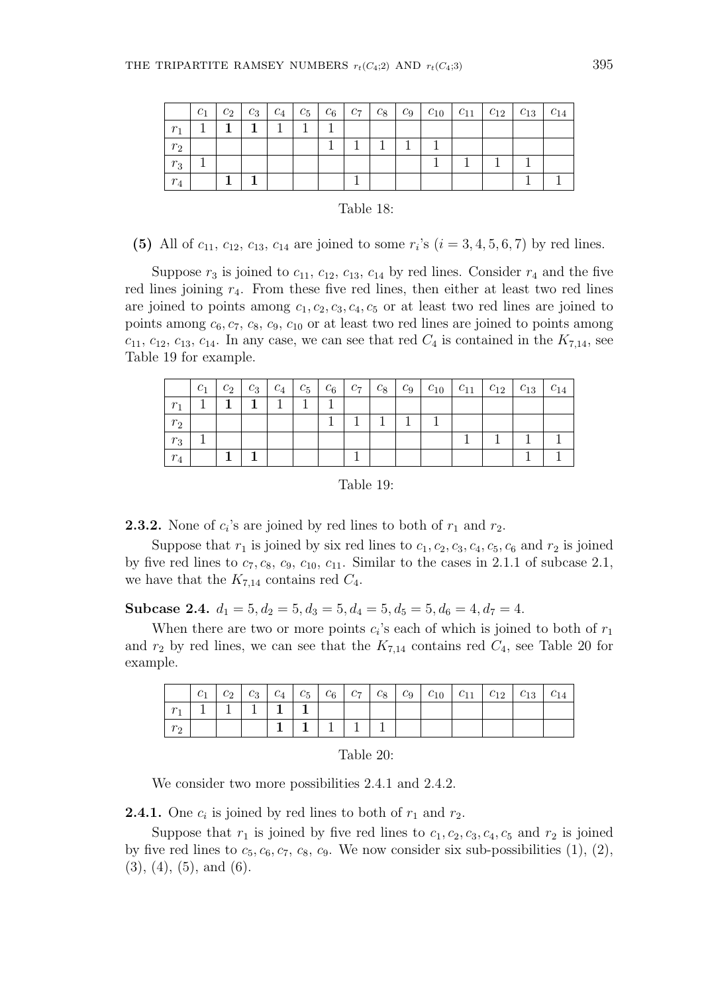|         | $c_1$ |  | $c_2$   $c_3$   $c_4$   $c_5$   $c_6$   $c_7$   $c_8$   $c_9$ |  |  |  | $ c_{10} c_{11} c_{12} c_{13} c_{14}$ |  |
|---------|-------|--|---------------------------------------------------------------|--|--|--|---------------------------------------|--|
| $r_{1}$ |       |  |                                                               |  |  |  |                                       |  |
| $r_2$   |       |  |                                                               |  |  |  |                                       |  |
| $r_3$   |       |  |                                                               |  |  |  |                                       |  |
| $r_4$   |       |  |                                                               |  |  |  |                                       |  |

| Table 18: |  |
|-----------|--|
|-----------|--|

(5) All of  $c_{11}$ ,  $c_{12}$ ,  $c_{13}$ ,  $c_{14}$  are joined to some  $r_i$ 's  $(i = 3, 4, 5, 6, 7)$  by red lines.

Suppose  $r_3$  is joined to  $c_{11}$ ,  $c_{12}$ ,  $c_{13}$ ,  $c_{14}$  by red lines. Consider  $r_4$  and the five red lines joining  $r_4$ . From these five red lines, then either at least two red lines are joined to points among  $c_1, c_2, c_3, c_4, c_5$  or at least two red lines are joined to points among  $c_6$ ,  $c_7$ ,  $c_8$ ,  $c_9$ ,  $c_{10}$  or at least two red lines are joined to points among  $c_{11}$ ,  $c_{12}$ ,  $c_{13}$ ,  $c_{14}$ . In any case, we can see that red  $C_4$  is contained in the  $K_{7,14}$ , see Table 19 for example.

|       | c <sub>1</sub> | $c_2$ | $c_3 \mid c_4 \mid c_5 \mid c_6 \mid c_7$ |  | $\begin{array}{cc} & C_8 \end{array}$ |  |  |  |
|-------|----------------|-------|-------------------------------------------|--|---------------------------------------|--|--|--|
|       |                |       |                                           |  |                                       |  |  |  |
| $r_2$ |                |       |                                           |  |                                       |  |  |  |
| $r_3$ |                |       |                                           |  |                                       |  |  |  |
| $r_4$ |                |       |                                           |  |                                       |  |  |  |

Table 19:

**2.3.2.** None of  $c_i$ 's are joined by red lines to both of  $r_1$  and  $r_2$ .

Suppose that  $r_1$  is joined by six red lines to  $c_1, c_2, c_3, c_4, c_5, c_6$  and  $r_2$  is joined by five red lines to  $c_7, c_8, c_9, c_{10}, c_{11}$ . Similar to the cases in 2.1.1 of subcase 2.1, we have that the  $K_{7,14}$  contains red  $C_4$ .

Subcase 2.4.  $d_1 = 5, d_2 = 5, d_3 = 5, d_4 = 5, d_5 = 5, d_6 = 4, d_7 = 4.$ 

When there are two or more points  $c_i$ 's each of which is joined to both of  $r_1$ and  $r_2$  by red lines, we can see that the  $K_{7,14}$  contains red  $C_4$ , see Table 20 for example.

|        | $c_1$ | $c_2$ |  |  |  |  |  | $C_{14}$ |
|--------|-------|-------|--|--|--|--|--|----------|
| $\sim$ |       |       |  |  |  |  |  |          |
|        |       |       |  |  |  |  |  |          |

| Table 20: |  |  |
|-----------|--|--|
|           |  |  |

We consider two more possibilities 2.4.1 and 2.4.2.

**2.4.1.** One  $c_i$  is joined by red lines to both of  $r_1$  and  $r_2$ .

Suppose that  $r_1$  is joined by five red lines to  $c_1, c_2, c_3, c_4, c_5$  and  $r_2$  is joined by five red lines to  $c_5, c_6, c_7, c_8, c_9$ . We now consider six sub-possibilities  $(1), (2),$  $(3), (4), (5), \text{ and } (6).$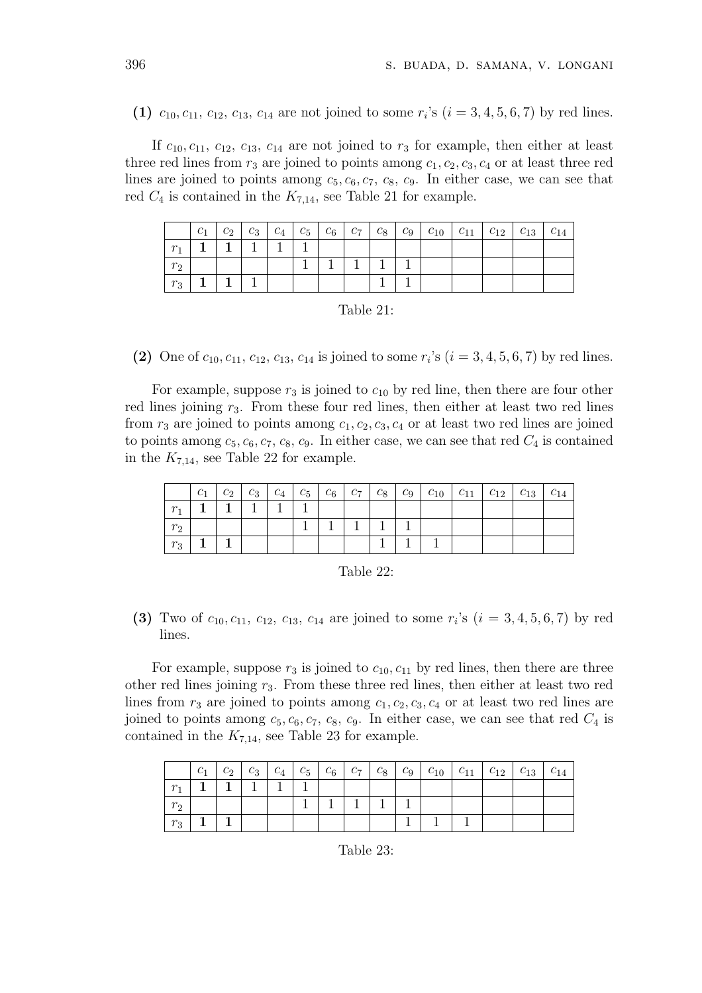(1)  $c_{10}, c_{11}, c_{12}, c_{13}, c_{14}$  are not joined to some  $r_i$ 's  $(i = 3, 4, 5, 6, 7)$  by red lines.

If  $c_{10}, c_{11}, c_{12}, c_{13}, c_{14}$  are not joined to  $r_3$  for example, then either at least three red lines from  $r_3$  are joined to points among  $c_1, c_2, c_3, c_4$  or at least three red lines are joined to points among  $c_5, c_6, c_7, c_8, c_9$ . In either case, we can see that red  $C_4$  is contained in the  $K_{7,14}$ , see Table 21 for example.

|         | $c_1$ |  |  |  |  |  |  |  |
|---------|-------|--|--|--|--|--|--|--|
| $r_{1}$ |       |  |  |  |  |  |  |  |
| $r_2$   |       |  |  |  |  |  |  |  |
| $r_3$   |       |  |  |  |  |  |  |  |

| Table 21: |  |  |
|-----------|--|--|
|           |  |  |

(2) One of  $c_{10}, c_{11}, c_{12}, c_{13}, c_{14}$  is joined to some  $r_i$ 's  $(i = 3, 4, 5, 6, 7)$  by red lines.

For example, suppose  $r_3$  is joined to  $c_{10}$  by red line, then there are four other red lines joining  $r_3$ . From these four red lines, then either at least two red lines from  $r_3$  are joined to points among  $c_1, c_2, c_3, c_4$  or at least two red lines are joined to points among  $c_5$ ,  $c_6$ ,  $c_7$ ,  $c_8$ ,  $c_9$ . In either case, we can see that red  $C_4$  is contained in the  $K_{7,14}$ , see Table 22 for example.

|             |  |  |  |  |  | $c_1$   $c_2$   $c_3$   $c_4$   $c_5$   $c_6$   $c_7$   $c_8$   $c_9$   $c_{10}$   $c_{11}$   $c_{12}$   $c_{13}$   $c_{14}$ |  |
|-------------|--|--|--|--|--|------------------------------------------------------------------------------------------------------------------------------|--|
| $r_{\rm A}$ |  |  |  |  |  |                                                                                                                              |  |
|             |  |  |  |  |  |                                                                                                                              |  |
| $r_3$       |  |  |  |  |  |                                                                                                                              |  |

| Table 22: |  |
|-----------|--|
|-----------|--|

(3) Two of  $c_{10}, c_{11}, c_{12}, c_{13}, c_{14}$  are joined to some  $r_i$ 's  $(i = 3, 4, 5, 6, 7)$  by red lines.

For example, suppose  $r_3$  is joined to  $c_{10}, c_{11}$  by red lines, then there are three other red lines joining  $r_3$ . From these three red lines, then either at least two red lines from  $r_3$  are joined to points among  $c_1, c_2, c_3, c_4$  or at least two red lines are joined to points among  $c_5, c_6, c_7, c_8, c_9$ . In either case, we can see that red  $C_4$  is contained in the  $K_{7,14}$ , see Table 23 for example.

|             | $c_1$ |  |  |  |  |  |  |  |
|-------------|-------|--|--|--|--|--|--|--|
| $r_{\rm A}$ |       |  |  |  |  |  |  |  |
| $r_{2}$     |       |  |  |  |  |  |  |  |
| $r_3$       |       |  |  |  |  |  |  |  |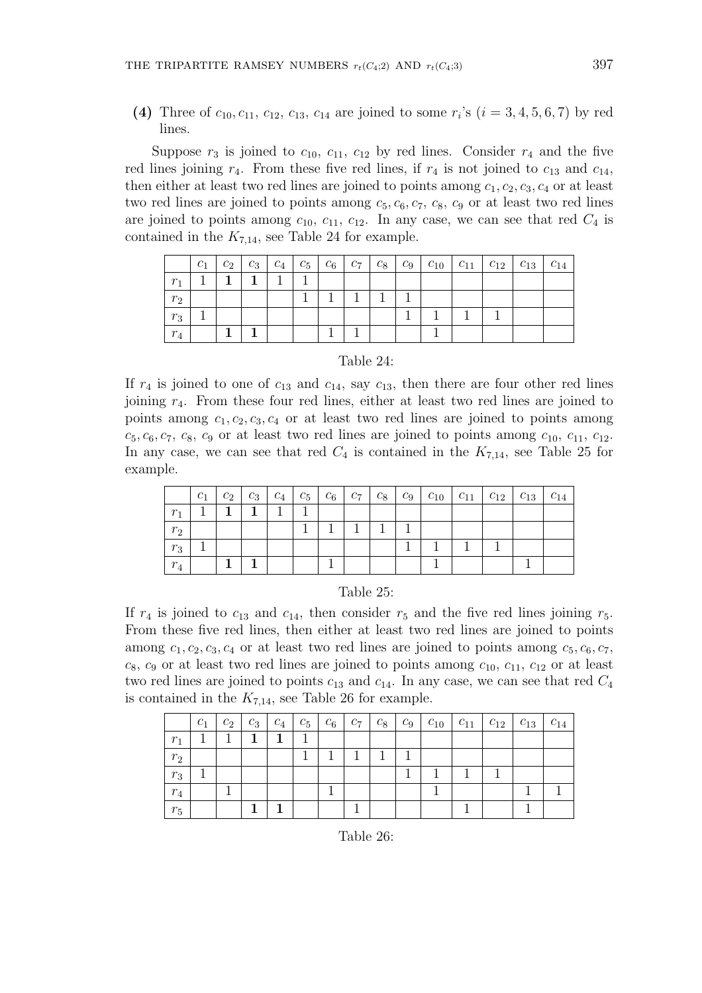(4) Three of  $c_{10}, c_{11}, c_{12}, c_{13}, c_{14}$  are joined to some  $r_i$ 's  $(i = 3, 4, 5, 6, 7)$  by red lines.

Suppose  $r_3$  is joined to  $c_{10}$ ,  $c_{11}$ ,  $c_{12}$  by red lines. Consider  $r_4$  and the five red lines joining  $r_4$ . From these five red lines, if  $r_4$  is not joined to  $c_{13}$  and  $c_{14}$ , then either at least two red lines are joined to points among  $c_1, c_2, c_3, c_4$  or at least two red lines are joined to points among  $c_5, c_6, c_7, c_8, c_9$  or at least two red lines are joined to points among  $c_{10}$ ,  $c_{11}$ ,  $c_{12}$ . In any case, we can see that red  $C_4$  is contained in the  $K_{7,14}$ , see Table 24 for example.

|       | $c_1$ | $c_2 \mid c_3 \mid$ |  | $\begin{array}{cc} C_7 \end{array}$ | $c_8$   $c_9$ |  |  | $\lfloor c_{14} \rfloor$ |
|-------|-------|---------------------|--|-------------------------------------|---------------|--|--|--------------------------|
| $r_1$ |       |                     |  |                                     |               |  |  |                          |
| $r_2$ |       |                     |  |                                     |               |  |  |                          |
| $r_3$ |       |                     |  |                                     |               |  |  |                          |
| $r_4$ |       |                     |  |                                     |               |  |  |                          |

### Table 24:

If  $r_4$  is joined to one of  $c_{13}$  and  $c_{14}$ , say  $c_{13}$ , then there are four other red lines joining r4. From these four red lines, either at least two red lines are joined to points among  $c_1, c_2, c_3, c_4$  or at least two red lines are joined to points among  $c_5, c_6, c_7, c_8, c_9$  or at least two red lines are joined to points among  $c_{10}, c_{11}, c_{12}.$ In any case, we can see that red  $C_4$  is contained in the  $K_{7,14}$ , see Table 25 for example.

|       | $c_1$ |  |  |  |  |  |  |  |
|-------|-------|--|--|--|--|--|--|--|
|       |       |  |  |  |  |  |  |  |
| $r_2$ |       |  |  |  |  |  |  |  |
| $r_3$ |       |  |  |  |  |  |  |  |
|       |       |  |  |  |  |  |  |  |

#### Table 25:

If  $r_4$  is joined to  $c_{13}$  and  $c_{14}$ , then consider  $r_5$  and the five red lines joining  $r_5$ . From these five red lines, then either at least two red lines are joined to points among  $c_1, c_2, c_3, c_4$  or at least two red lines are joined to points among  $c_5, c_6, c_7$ ,  $c_8$ ,  $c_9$  or at least two red lines are joined to points among  $c_{10}$ ,  $c_{11}$ ,  $c_{12}$  or at least two red lines are joined to points  $c_{13}$  and  $c_{14}$ . In any case, we can see that red  $C_4$ is contained in the  $K_{7,14}$ , see Table 26 for example.

|       | $c_1$ | $c_2$ | $\mathbb{C}_3$ | $c_4$ | $c_5$ | $c_6$ | $C_{7+}$ | $c_8$ | $\perp$ $C_{9}$ $\perp$ |  | $c_{10}$   $c_{11}$   $c_{12}$ | $c_{13}$ | $c_{14}$ |
|-------|-------|-------|----------------|-------|-------|-------|----------|-------|-------------------------|--|--------------------------------|----------|----------|
| $r_1$ |       |       |                |       |       |       |          |       |                         |  |                                |          |          |
| $r_2$ |       |       |                |       |       |       |          |       |                         |  |                                |          |          |
| $r_3$ |       |       |                |       |       |       |          |       |                         |  |                                |          |          |
| $r_4$ |       |       |                |       |       |       |          |       |                         |  |                                |          |          |
| $r_5$ |       |       |                |       |       |       |          |       |                         |  |                                |          |          |

Table 26: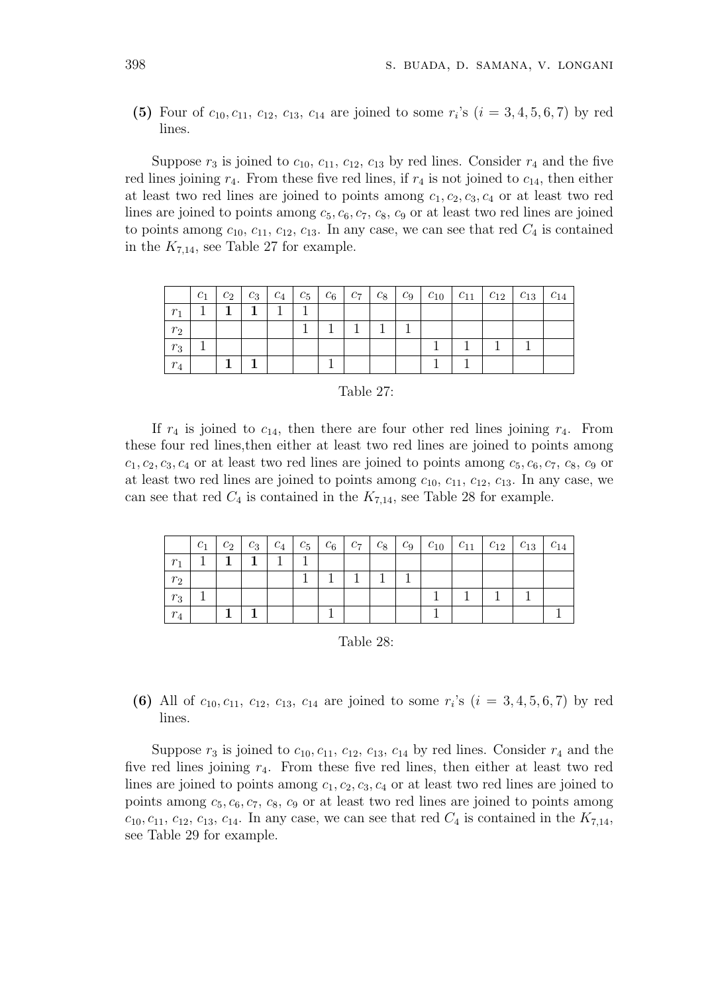(5) Four of  $c_{10}, c_{11}, c_{12}, c_{13}, c_{14}$  are joined to some  $r_i$ 's  $(i = 3, 4, 5, 6, 7)$  by red lines.

Suppose  $r_3$  is joined to  $c_{10}$ ,  $c_{11}$ ,  $c_{12}$ ,  $c_{13}$  by red lines. Consider  $r_4$  and the five red lines joining  $r_4$ . From these five red lines, if  $r_4$  is not joined to  $c_{14}$ , then either at least two red lines are joined to points among  $c_1, c_2, c_3, c_4$  or at least two red lines are joined to points among  $c_5, c_6, c_7, c_8, c_9$  or at least two red lines are joined to points among  $c_{10}$ ,  $c_{11}$ ,  $c_{12}$ ,  $c_{13}$ . In any case, we can see that red  $C_4$  is contained in the  $K_{7,14}$ , see Table 27 for example.

|         | $c_1$ |  |  |  |  |  | $c_2$   $c_3$   $c_4$   $c_5$   $c_6$   $c_7$   $c_8$   $c_9$   $c_{10}$   $c_{11}$   $c_{12}$   $c_{13}$   $c_{14}$ |  |
|---------|-------|--|--|--|--|--|----------------------------------------------------------------------------------------------------------------------|--|
| $r_{1}$ |       |  |  |  |  |  |                                                                                                                      |  |
| $r_2$   |       |  |  |  |  |  |                                                                                                                      |  |
| $r_3$   |       |  |  |  |  |  |                                                                                                                      |  |
| $r_4$   |       |  |  |  |  |  |                                                                                                                      |  |

|  | Table 27: |  |  |
|--|-----------|--|--|
|--|-----------|--|--|

If  $r_4$  is joined to  $c_{14}$ , then there are four other red lines joining  $r_4$ . From these four red lines,then either at least two red lines are joined to points among  $c_1, c_2, c_3, c_4$  or at least two red lines are joined to points among  $c_5, c_6, c_7, c_8, c_9$  or at least two red lines are joined to points among  $c_{10}$ ,  $c_{11}$ ,  $c_{12}$ ,  $c_{13}$ . In any case, we can see that red  $C_4$  is contained in the  $K_{7,14}$ , see Table 28 for example.

|                | c <sub>1</sub> |  |  |  |  |  | $c_2$   $c_3$   $c_4$   $c_5$   $c_6$   $c_7$   $c_8$   $c_9$   $c_{10}$   $c_{11}$   $c_{12}$   $c_{13}$ | $\lfloor c_{14} \rfloor$ |
|----------------|----------------|--|--|--|--|--|-----------------------------------------------------------------------------------------------------------|--------------------------|
| r.             |                |  |  |  |  |  |                                                                                                           |                          |
| r <sub>2</sub> |                |  |  |  |  |  |                                                                                                           |                          |
| $r_3$          |                |  |  |  |  |  |                                                                                                           |                          |
| $r_4$          |                |  |  |  |  |  |                                                                                                           |                          |

| Table 28: |  |
|-----------|--|
|-----------|--|

(6) All of  $c_{10}, c_{11}, c_{12}, c_{13}, c_{14}$  are joined to some  $r_i$ 's  $(i = 3, 4, 5, 6, 7)$  by red lines.

Suppose  $r_3$  is joined to  $c_{10}, c_{11}, c_{12}, c_{13}, c_{14}$  by red lines. Consider  $r_4$  and the five red lines joining  $r_4$ . From these five red lines, then either at least two red lines are joined to points among  $c_1, c_2, c_3, c_4$  or at least two red lines are joined to points among  $c_5, c_6, c_7, c_8, c_9$  or at least two red lines are joined to points among  $c_{10}, c_{11}, c_{12}, c_{13}, c_{14}.$  In any case, we can see that red  $C_4$  is contained in the  $K_{7,14}$ , see Table 29 for example.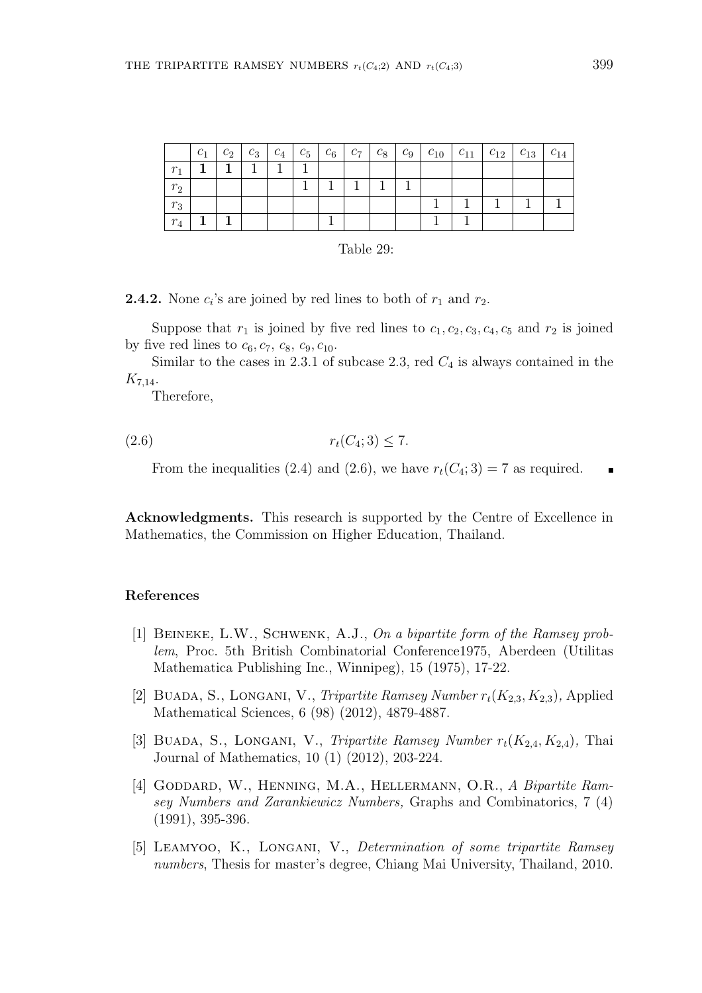|                | $c_1$ |  |  |  |  |  | $c_2$   $c_3$   $c_4$   $c_5$   $c_6$   $c_7$   $c_8$   $c_9$   $c_{10}$   $c_{11}$   $c_{12}$   $c_{13}$   $c_{14}$ |  |
|----------------|-------|--|--|--|--|--|----------------------------------------------------------------------------------------------------------------------|--|
| r <sub>1</sub> |       |  |  |  |  |  |                                                                                                                      |  |
| $r_2$          |       |  |  |  |  |  |                                                                                                                      |  |
| $r_3$          |       |  |  |  |  |  |                                                                                                                      |  |
| $r_4$          |       |  |  |  |  |  |                                                                                                                      |  |

| Table 29: |  |
|-----------|--|
|-----------|--|

**2.4.2.** None  $c_i$ 's are joined by red lines to both of  $r_1$  and  $r_2$ .

Suppose that  $r_1$  is joined by five red lines to  $c_1, c_2, c_3, c_4, c_5$  and  $r_2$  is joined by five red lines to  $c_6$ ,  $c_7$ ,  $c_8$ ,  $c_9$ ,  $c_{10}$ .

Similar to the cases in 2.3.1 of subcase 2.3, red  $C_4$  is always contained in the  $K_{7,14}.$ 

Therefore,

$$
(2.6) \t\t\t r_t(C_4; 3) \le 7.
$$

From the inequalities (2.4) and (2.6), we have  $r_t(C_4; 3) = 7$  as required.

Acknowledgments. This research is supported by the Centre of Excellence in Mathematics, the Commission on Higher Education, Thailand.

## References

- [1] Beineke, L.W., Schwenk, A.J., On a bipartite form of the Ramsey problem, Proc. 5th British Combinatorial Conference1975, Aberdeen (Utilitas Mathematica Publishing Inc., Winnipeg), 15 (1975), 17-22.
- [2] BUADA, S., LONGANI, V., *Tripartite Ramsey Number*  $r_t(K_{2,3}, K_{2,3})$ , Applied Mathematical Sciences, 6 (98) (2012), 4879-4887.
- [3] BUADA, S., LONGANI, V., Tripartite Ramsey Number  $r_t(K_{2,4}, K_{2,4})$ , Thai Journal of Mathematics, 10 (1) (2012), 203-224.
- [4] GODDARD, W., HENNING, M.A., HELLERMANN, O.R., A Bipartite Ramsey Numbers and Zarankiewicz Numbers, Graphs and Combinatorics, 7 (4) (1991), 395-396.
- [5] LEAMYOO, K., LONGANI, V., Determination of some tripartite Ramsey numbers, Thesis for master's degree, Chiang Mai University, Thailand, 2010.